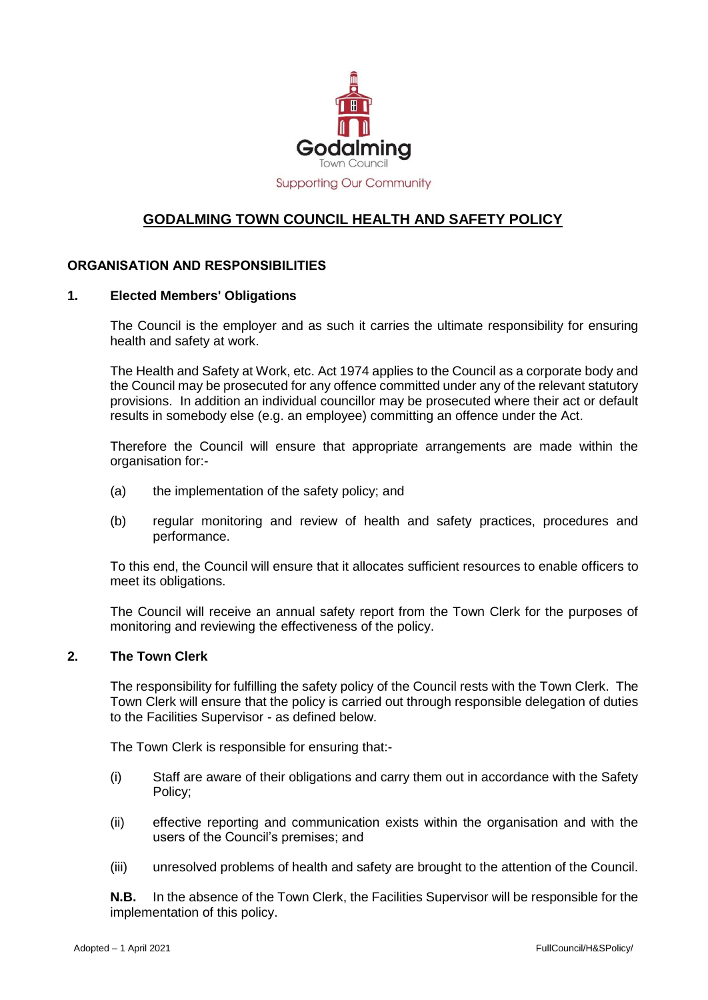

# **GODALMING TOWN COUNCIL HEALTH AND SAFETY POLICY**

## **ORGANISATION AND RESPONSIBILITIES**

#### **1. Elected Members' Obligations**

The Council is the employer and as such it carries the ultimate responsibility for ensuring health and safety at work.

The Health and Safety at Work, etc. Act 1974 applies to the Council as a corporate body and the Council may be prosecuted for any offence committed under any of the relevant statutory provisions. In addition an individual councillor may be prosecuted where their act or default results in somebody else (e.g. an employee) committing an offence under the Act.

Therefore the Council will ensure that appropriate arrangements are made within the organisation for:-

- (a) the implementation of the safety policy; and
- (b) regular monitoring and review of health and safety practices, procedures and performance.

To this end, the Council will ensure that it allocates sufficient resources to enable officers to meet its obligations.

The Council will receive an annual safety report from the Town Clerk for the purposes of monitoring and reviewing the effectiveness of the policy.

#### **2. The Town Clerk**

The responsibility for fulfilling the safety policy of the Council rests with the Town Clerk. The Town Clerk will ensure that the policy is carried out through responsible delegation of duties to the Facilities Supervisor - as defined below.

The Town Clerk is responsible for ensuring that:-

- (i) Staff are aware of their obligations and carry them out in accordance with the Safety Policy;
- (ii) effective reporting and communication exists within the organisation and with the users of the Council's premises; and
- (iii) unresolved problems of health and safety are brought to the attention of the Council.

**N.B.** In the absence of the Town Clerk, the Facilities Supervisor will be responsible for the implementation of this policy.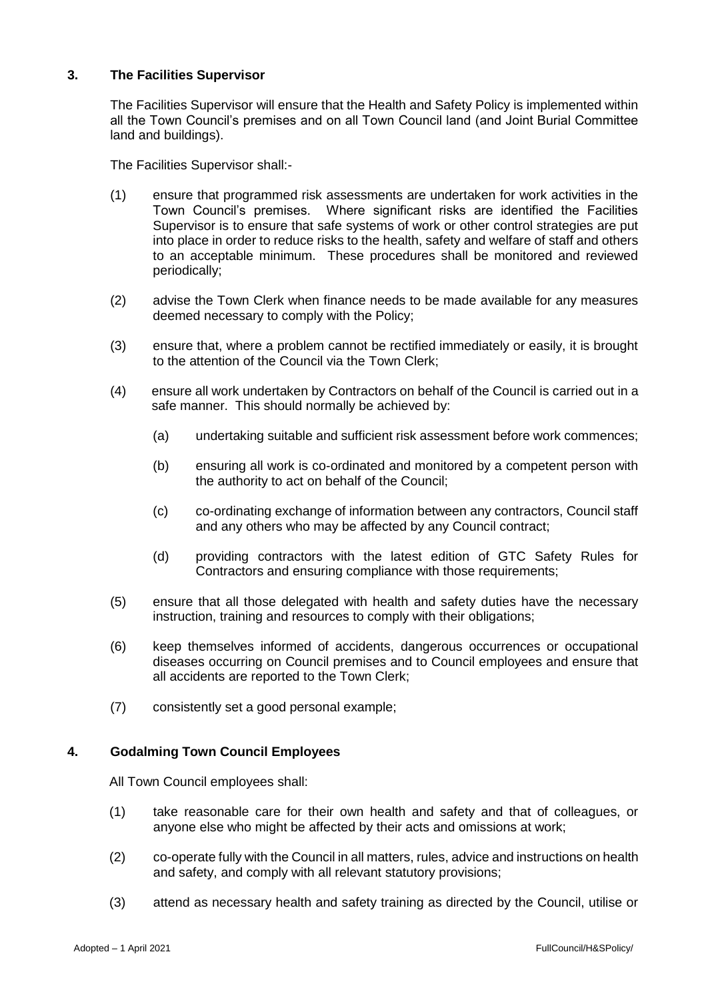# **3. The Facilities Supervisor**

The Facilities Supervisor will ensure that the Health and Safety Policy is implemented within all the Town Council's premises and on all Town Council land (and Joint Burial Committee land and buildings).

The Facilities Supervisor shall:-

- (1) ensure that programmed risk assessments are undertaken for work activities in the Town Council's premises. Where significant risks are identified the Facilities Supervisor is to ensure that safe systems of work or other control strategies are put into place in order to reduce risks to the health, safety and welfare of staff and others to an acceptable minimum. These procedures shall be monitored and reviewed periodically;
- (2) advise the Town Clerk when finance needs to be made available for any measures deemed necessary to comply with the Policy;
- (3) ensure that, where a problem cannot be rectified immediately or easily, it is brought to the attention of the Council via the Town Clerk;
- (4) ensure all work undertaken by Contractors on behalf of the Council is carried out in a safe manner. This should normally be achieved by:
	- (a) undertaking suitable and sufficient risk assessment before work commences;
	- (b) ensuring all work is co-ordinated and monitored by a competent person with the authority to act on behalf of the Council;
	- (c) co-ordinating exchange of information between any contractors, Council staff and any others who may be affected by any Council contract;
	- (d) providing contractors with the latest edition of GTC Safety Rules for Contractors and ensuring compliance with those requirements;
- (5) ensure that all those delegated with health and safety duties have the necessary instruction, training and resources to comply with their obligations;
- (6) keep themselves informed of accidents, dangerous occurrences or occupational diseases occurring on Council premises and to Council employees and ensure that all accidents are reported to the Town Clerk;
- (7) consistently set a good personal example;

## **4. Godalming Town Council Employees**

All Town Council employees shall:

- (1) take reasonable care for their own health and safety and that of colleagues, or anyone else who might be affected by their acts and omissions at work;
- (2) co-operate fully with the Council in all matters, rules, advice and instructions on health and safety, and comply with all relevant statutory provisions;
- (3) attend as necessary health and safety training as directed by the Council, utilise or